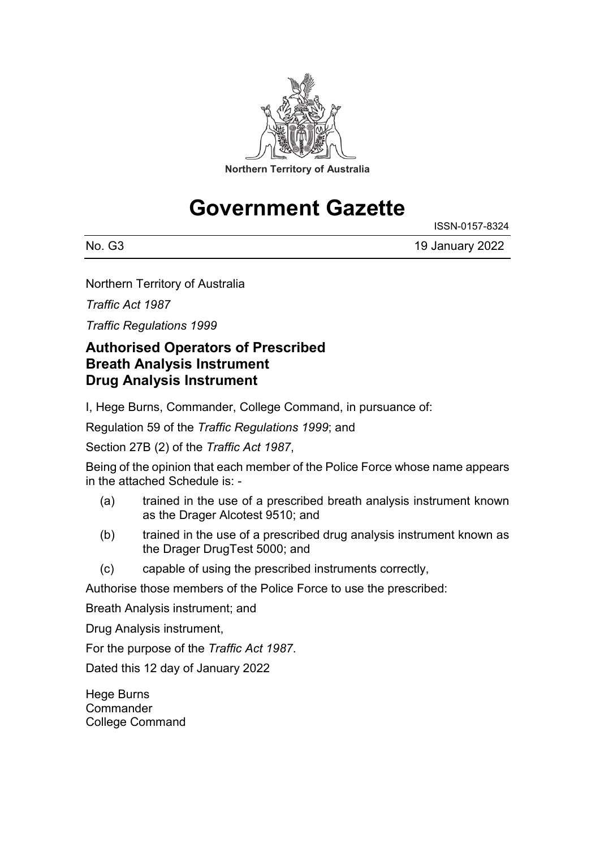

# **Government Gazette**

No. G3 19 January 2022

ISSN-0157-8324

Northern Territory of Australia

*Traffic Act 1987*

*Traffic Regulations 1999*

#### **Authorised Operators of Prescribed Breath Analysis Instrument Drug Analysis Instrument**

I, Hege Burns, Commander, College Command, in pursuance of:

Regulation 59 of the *Traffic Regulations 1999*; and

Section 27B (2) of the *Traffic Act 1987*,

Being of the opinion that each member of the Police Force whose name appears in the attached Schedule is: -

- (a) trained in the use of a prescribed breath analysis instrument known as the Drager Alcotest 9510; and
- (b) trained in the use of a prescribed drug analysis instrument known as the Drager DrugTest 5000; and
- (c) capable of using the prescribed instruments correctly,

Authorise those members of the Police Force to use the prescribed:

Breath Analysis instrument; and

Drug Analysis instrument,

For the purpose of the *Traffic Act 1987*.

Dated this 12 day of January 2022

Hege Burns **Commander** College Command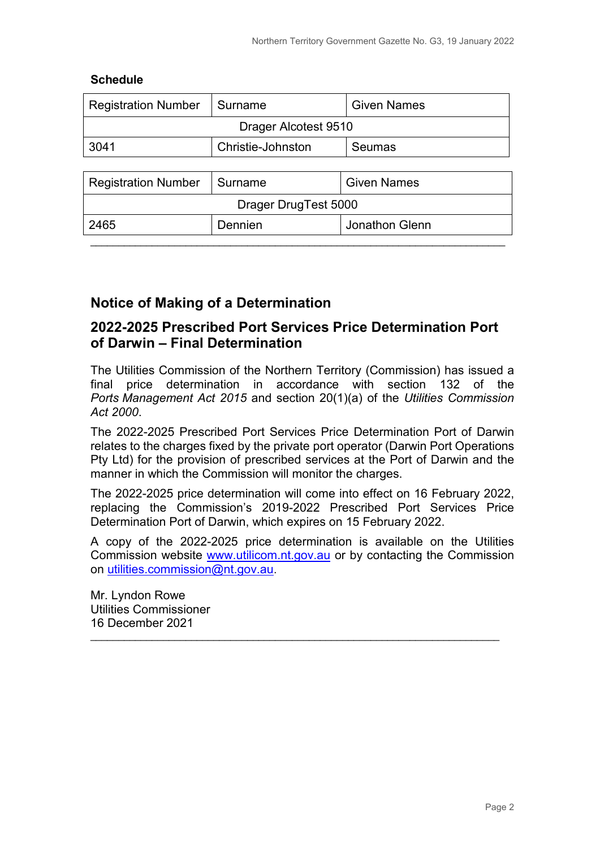#### **Schedule**

| <b>Registration Number</b> | Surname           | <b>Given Names</b> |
|----------------------------|-------------------|--------------------|
| Drager Alcotest 9510       |                   |                    |
| 3041                       | Christie-Johnston | <b>Seumas</b>      |
|                            |                   |                    |
| <b>Registration Number</b> | Surname           | <b>Given Names</b> |
| Drager DrugTest 5000       |                   |                    |
| 2465                       | Dennien           | Jonathon Glenn     |

\_\_\_\_\_\_\_\_\_\_\_\_\_\_\_\_\_\_\_\_\_\_\_\_\_\_\_\_\_\_\_\_\_\_\_\_\_\_\_\_\_\_\_\_\_\_\_\_\_\_\_\_\_\_\_\_\_\_\_\_\_\_\_\_\_\_\_\_\_\_\_\_\_\_

#### **Notice of Making of a Determination**

#### **2022-2025 Prescribed Port Services Price Determination Port of Darwin – Final Determination**

The Utilities Commission of the Northern Territory (Commission) has issued a final price determination in accordance with section 132 of the *Ports Management Act 2015* and section 20(1)(a) of the *Utilities Commission Act 2000*.

The 2022-2025 Prescribed Port Services Price Determination Port of Darwin relates to the charges fixed by the private port operator (Darwin Port Operations Pty Ltd) for the provision of prescribed services at the Port of Darwin and the manner in which the Commission will monitor the charges.

The 2022-2025 price determination will come into effect on 16 February 2022, replacing the Commission's 2019-2022 Prescribed Port Services Price Determination Port of Darwin, which expires on 15 February 2022.

A copy of the 2022-2025 price determination is available on the Utilities Commission website [www.utilicom.nt.gov.au](http://www.utilicom.nt.gov.au/) or by contacting the Commission on [utilities.commission@nt.gov.au.](mailto:utilities.commission@nt.gov.au)

\_\_\_\_\_\_\_\_\_\_\_\_\_\_\_\_\_\_\_\_\_\_\_\_\_\_\_\_\_\_\_\_\_\_\_\_\_\_\_\_\_\_\_\_\_\_\_\_\_\_\_\_\_\_\_\_\_\_\_\_\_\_\_\_\_\_\_\_\_\_\_\_\_

Mr. Lyndon Rowe Utilities Commissioner 16 December 2021